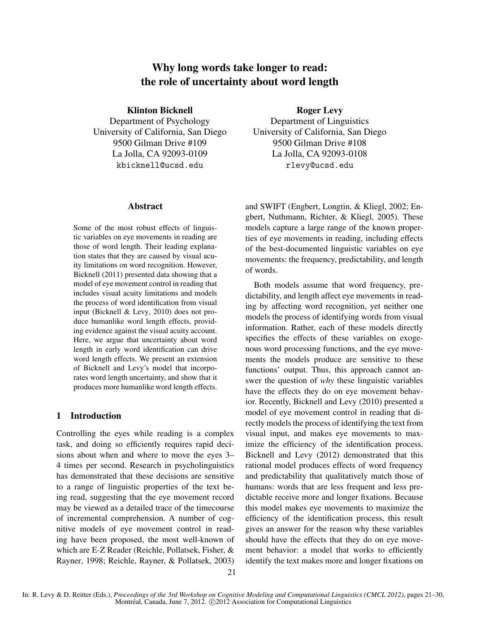# Why long words take longer to read: the role of uncertainty about word length

Klinton Bicknell

Department of Psychology University of California, San Diego 9500 Gilman Drive #109 La Jolla, CA 92093-0109 kbicknell@ucsd.edu

# Abstract

Some of the most robust effects of linguistic variables on eye movements in reading are those of word length. Their leading explanation states that they are caused by visual acuity limitations on word recognition. However, Bicknell (2011) presented data showing that a model of eye movement control in reading that includes visual acuity limitations and models the process of word identification from visual input (Bicknell & Levy, 2010) does not produce humanlike word length effects, providing evidence against the visual acuity account. Here, we argue that uncertainty about word length in early word identification can drive word length effects. We present an extension of Bicknell and Levy's model that incorporates word length uncertainty, and show that it produces more humanlike word length effects.

# 1 Introduction

Controlling the eyes while reading is a complex task, and doing so efficiently requires rapid decisions about when and where to move the eyes 3– 4 times per second. Research in psycholinguistics has demonstrated that these decisions are sensitive to a range of linguistic properties of the text being read, suggesting that the eye movement record may be viewed as a detailed trace of the timecourse of incremental comprehension. A number of cognitive models of eye movement control in reading have been proposed, the most well-known of which are E-Z Reader (Reichle, Pollatsek, Fisher, & Rayner, 1998; Reichle, Rayner, & Pollatsek, 2003) Roger Levy

Department of Linguistics University of California, San Diego 9500 Gilman Drive #108 La Jolla, CA 92093-0108 rlevy@ucsd.edu

and SWIFT (Engbert, Longtin, & Kliegl, 2002; Engbert, Nuthmann, Richter, & Kliegl, 2005). These models capture a large range of the known properties of eye movements in reading, including effects of the best-documented linguistic variables on eye movements: the frequency, predictability, and length of words.

Both models assume that word frequency, predictability, and length affect eye movements in reading by affecting word recognition, yet neither one models the process of identifying words from visual information. Rather, each of these models directly specifies the effects of these variables on exogenous word processing functions, and the eye movements the models produce are sensitive to these functions' output. Thus, this approach cannot answer the question of *why* these linguistic variables have the effects they do on eye movement behavior. Recently, Bicknell and Levy (2010) presented a model of eye movement control in reading that directly models the process of identifying the text from visual input, and makes eye movements to maximize the efficiency of the identification process. Bicknell and Levy (2012) demonstrated that this rational model produces effects of word frequency and predictability that qualitatively match those of humans: words that are less frequent and less predictable receive more and longer fixations. Because this model makes eye movements to maximize the efficiency of the identification process, this result gives an answer for the reason why these variables should have the effects that they do on eye movement behavior: a model that works to efficiently identify the text makes more and longer fixations on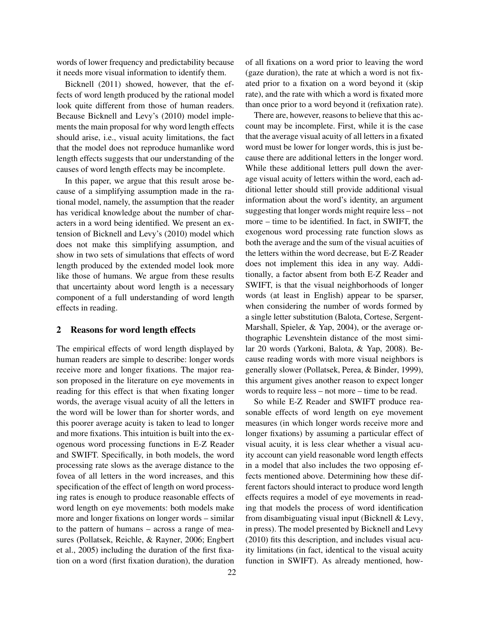words of lower frequency and predictability because it needs more visual information to identify them.

Bicknell (2011) showed, however, that the effects of word length produced by the rational model look quite different from those of human readers. Because Bicknell and Levy's (2010) model implements the main proposal for why word length effects should arise, i.e., visual acuity limitations, the fact that the model does not reproduce humanlike word length effects suggests that our understanding of the causes of word length effects may be incomplete.

In this paper, we argue that this result arose because of a simplifying assumption made in the rational model, namely, the assumption that the reader has veridical knowledge about the number of characters in a word being identified. We present an extension of Bicknell and Levy's (2010) model which does not make this simplifying assumption, and show in two sets of simulations that effects of word length produced by the extended model look more like those of humans. We argue from these results that uncertainty about word length is a necessary component of a full understanding of word length effects in reading.

### 2 Reasons for word length effects

The empirical effects of word length displayed by human readers are simple to describe: longer words receive more and longer fixations. The major reason proposed in the literature on eye movements in reading for this effect is that when fixating longer words, the average visual acuity of all the letters in the word will be lower than for shorter words, and this poorer average acuity is taken to lead to longer and more fixations. This intuition is built into the exogenous word processing functions in E-Z Reader and SWIFT. Specifically, in both models, the word processing rate slows as the average distance to the fovea of all letters in the word increases, and this specification of the effect of length on word processing rates is enough to produce reasonable effects of word length on eye movements: both models make more and longer fixations on longer words – similar to the pattern of humans – across a range of measures (Pollatsek, Reichle, & Rayner, 2006; Engbert et al., 2005) including the duration of the first fixation on a word (first fixation duration), the duration

of all fixations on a word prior to leaving the word (gaze duration), the rate at which a word is not fixated prior to a fixation on a word beyond it (skip rate), and the rate with which a word is fixated more than once prior to a word beyond it (refixation rate).

There are, however, reasons to believe that this account may be incomplete. First, while it is the case that the average visual acuity of all letters in a fixated word must be lower for longer words, this is just because there are additional letters in the longer word. While these additional letters pull down the average visual acuity of letters within the word, each additional letter should still provide additional visual information about the word's identity, an argument suggesting that longer words might require less – not more – time to be identified. In fact, in SWIFT, the exogenous word processing rate function slows as both the average and the sum of the visual acuities of the letters within the word decrease, but E-Z Reader does not implement this idea in any way. Additionally, a factor absent from both E-Z Reader and SWIFT, is that the visual neighborhoods of longer words (at least in English) appear to be sparser, when considering the number of words formed by a single letter substitution (Balota, Cortese, Sergent-Marshall, Spieler, & Yap, 2004), or the average orthographic Levenshtein distance of the most similar 20 words (Yarkoni, Balota, & Yap, 2008). Because reading words with more visual neighbors is generally slower (Pollatsek, Perea, & Binder, 1999), this argument gives another reason to expect longer words to require less – not more – time to be read.

So while E-Z Reader and SWIFT produce reasonable effects of word length on eye movement measures (in which longer words receive more and longer fixations) by assuming a particular effect of visual acuity, it is less clear whether a visual acuity account can yield reasonable word length effects in a model that also includes the two opposing effects mentioned above. Determining how these different factors should interact to produce word length effects requires a model of eye movements in reading that models the process of word identification from disambiguating visual input (Bicknell & Levy, in press). The model presented by Bicknell and Levy (2010) fits this description, and includes visual acuity limitations (in fact, identical to the visual acuity function in SWIFT). As already mentioned, how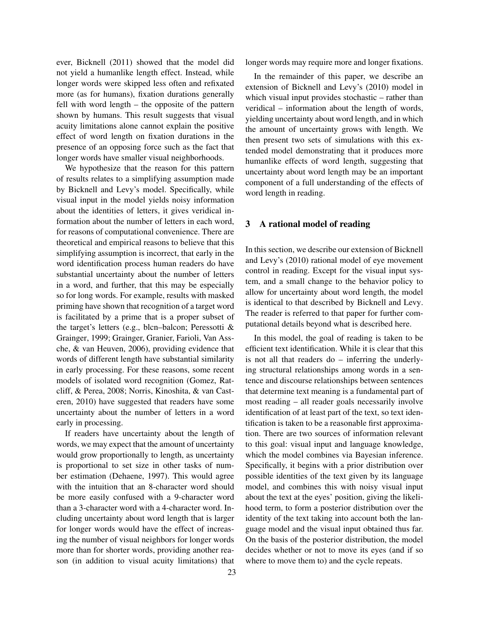ever, Bicknell (2011) showed that the model did not yield a humanlike length effect. Instead, while longer words were skipped less often and refixated more (as for humans), fixation durations generally fell with word length – the opposite of the pattern shown by humans. This result suggests that visual acuity limitations alone cannot explain the positive effect of word length on fixation durations in the presence of an opposing force such as the fact that longer words have smaller visual neighborhoods.

We hypothesize that the reason for this pattern of results relates to a simplifying assumption made by Bicknell and Levy's model. Specifically, while visual input in the model yields noisy information about the identities of letters, it gives veridical information about the number of letters in each word, for reasons of computational convenience. There are theoretical and empirical reasons to believe that this simplifying assumption is incorrect, that early in the word identification process human readers do have substantial uncertainty about the number of letters in a word, and further, that this may be especially so for long words. For example, results with masked priming have shown that recognition of a target word is facilitated by a prime that is a proper subset of the target's letters (e.g., blcn–balcon; Peressotti & Grainger, 1999; Grainger, Granier, Farioli, Van Assche, & van Heuven, 2006), providing evidence that words of different length have substantial similarity in early processing. For these reasons, some recent models of isolated word recognition (Gomez, Ratcliff, & Perea, 2008; Norris, Kinoshita, & van Casteren, 2010) have suggested that readers have some uncertainty about the number of letters in a word early in processing.

If readers have uncertainty about the length of words, we may expect that the amount of uncertainty would grow proportionally to length, as uncertainty is proportional to set size in other tasks of number estimation (Dehaene, 1997). This would agree with the intuition that an 8-character word should be more easily confused with a 9-character word than a 3-character word with a 4-character word. Including uncertainty about word length that is larger for longer words would have the effect of increasing the number of visual neighbors for longer words more than for shorter words, providing another reason (in addition to visual acuity limitations) that longer words may require more and longer fixations.

In the remainder of this paper, we describe an extension of Bicknell and Levy's (2010) model in which visual input provides stochastic – rather than veridical – information about the length of words, yielding uncertainty about word length, and in which the amount of uncertainty grows with length. We then present two sets of simulations with this extended model demonstrating that it produces more humanlike effects of word length, suggesting that uncertainty about word length may be an important component of a full understanding of the effects of word length in reading.

## 3 A rational model of reading

In this section, we describe our extension of Bicknell and Levy's (2010) rational model of eye movement control in reading. Except for the visual input system, and a small change to the behavior policy to allow for uncertainty about word length, the model is identical to that described by Bicknell and Levy. The reader is referred to that paper for further computational details beyond what is described here.

In this model, the goal of reading is taken to be efficient text identification. While it is clear that this is not all that readers do – inferring the underlying structural relationships among words in a sentence and discourse relationships between sentences that determine text meaning is a fundamental part of most reading – all reader goals necessarily involve identification of at least part of the text, so text identification is taken to be a reasonable first approximation. There are two sources of information relevant to this goal: visual input and language knowledge, which the model combines via Bayesian inference. Specifically, it begins with a prior distribution over possible identities of the text given by its language model, and combines this with noisy visual input about the text at the eyes' position, giving the likelihood term, to form a posterior distribution over the identity of the text taking into account both the language model and the visual input obtained thus far. On the basis of the posterior distribution, the model decides whether or not to move its eyes (and if so where to move them to) and the cycle repeats.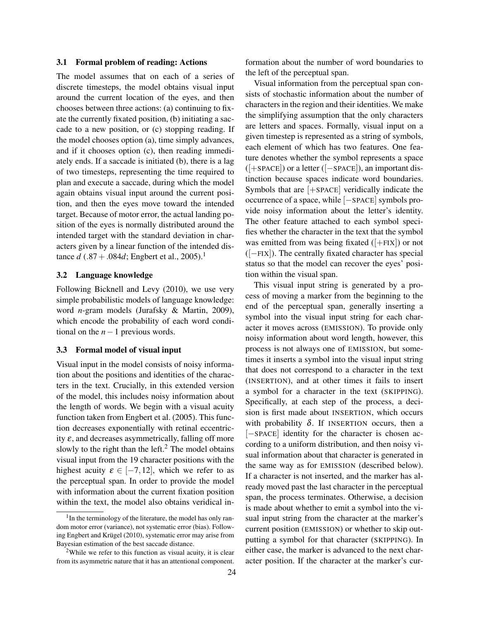#### 3.1 Formal problem of reading: Actions

The model assumes that on each of a series of discrete timesteps, the model obtains visual input around the current location of the eyes, and then chooses between three actions: (a) continuing to fixate the currently fixated position, (b) initiating a saccade to a new position, or (c) stopping reading. If the model chooses option (a), time simply advances, and if it chooses option (c), then reading immediately ends. If a saccade is initiated (b), there is a lag of two timesteps, representing the time required to plan and execute a saccade, during which the model again obtains visual input around the current position, and then the eyes move toward the intended target. Because of motor error, the actual landing position of the eyes is normally distributed around the intended target with the standard deviation in characters given by a linear function of the intended distance *d*  $(.87+.084d;$  Engbert et al., 2005).<sup>1</sup>

# 3.2 Language knowledge

Following Bicknell and Levy (2010), we use very simple probabilistic models of language knowledge: word *n*-gram models (Jurafsky & Martin, 2009), which encode the probability of each word conditional on the *n*−1 previous words.

#### 3.3 Formal model of visual input

Visual input in the model consists of noisy information about the positions and identities of the characters in the text. Crucially, in this extended version of the model, this includes noisy information about the length of words. We begin with a visual acuity function taken from Engbert et al. (2005). This function decreases exponentially with retinal eccentricity  $\varepsilon$ , and decreases asymmetrically, falling off more slowly to the right than the left. $<sup>2</sup>$  The model obtains</sup> visual input from the 19 character positions with the highest acuity  $\varepsilon \in [-7, 12]$ , which we refer to as the perceptual span. In order to provide the model with information about the current fixation position within the text, the model also obtains veridical in-

24

formation about the number of word boundaries to the left of the perceptual span.

Visual information from the perceptual span consists of stochastic information about the number of characters in the region and their identities. We make the simplifying assumption that the only characters are letters and spaces. Formally, visual input on a given timestep is represented as a string of symbols, each element of which has two features. One feature denotes whether the symbol represents a space ([+SPACE]) or a letter ([−SPACE]), an important distinction because spaces indicate word boundaries. Symbols that are [+SPACE] veridically indicate the occurrence of a space, while [−SPACE] symbols provide noisy information about the letter's identity. The other feature attached to each symbol specifies whether the character in the text that the symbol was emitted from was being fixated  $([-FX])$  or not ([−FIX]). The centrally fixated character has special status so that the model can recover the eyes' position within the visual span.

This visual input string is generated by a process of moving a marker from the beginning to the end of the perceptual span, generally inserting a symbol into the visual input string for each character it moves across (EMISSION). To provide only noisy information about word length, however, this process is not always one of EMISSION, but sometimes it inserts a symbol into the visual input string that does not correspond to a character in the text (INSERTION), and at other times it fails to insert a symbol for a character in the text (SKIPPING). Specifically, at each step of the process, a decision is first made about INSERTION, which occurs with probability  $\delta$ . If INSERTION occurs, then a [−SPACE] identity for the character is chosen according to a uniform distribution, and then noisy visual information about that character is generated in the same way as for EMISSION (described below). If a character is not inserted, and the marker has already moved past the last character in the perceptual span, the process terminates. Otherwise, a decision is made about whether to emit a symbol into the visual input string from the character at the marker's current position (EMISSION) or whether to skip outputting a symbol for that character (SKIPPING). In either case, the marker is advanced to the next character position. If the character at the marker's cur-

<sup>&</sup>lt;sup>1</sup> In the terminology of the literature, the model has only random motor error (variance), not systematic error (bias). Following Engbert and Krügel (2010), systematic error may arise from Bayesian estimation of the best saccade distance.

<sup>&</sup>lt;sup>2</sup>While we refer to this function as visual acuity, it is clear from its asymmetric nature that it has an attentional component.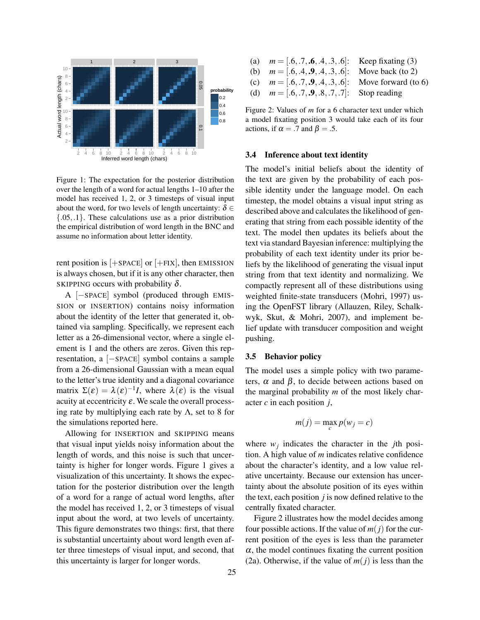

Figure 1: The expectation for the posterior distribution over the length of a word for actual lengths 1–10 after the model has received 1, 2, or 3 timesteps of visual input about the word, for two levels of length uncertainty:  $\delta \in$  $\{.05, .1\}$ . These calculations use as a prior distribution the empirical distribution of word length in the BNC and assume no information about letter identity.

rent position is  $[+SPACE]$  or  $[+FIX]$ , then EMISSION is always chosen, but if it is any other character, then SKIPPING occurs with probability  $\delta$ .

A [−SPACE] symbol (produced through EMIS-SION or INSERTION) contains noisy information about the identity of the letter that generated it, obtained via sampling. Specifically, we represent each letter as a 26-dimensional vector, where a single element is 1 and the others are zeros. Given this representation, a [−SPACE] symbol contains a sample from a 26-dimensional Gaussian with a mean equal to the letter's true identity and a diagonal covariance matrix  $\Sigma(\varepsilon) = \lambda(\varepsilon)^{-1} I$ , where  $\lambda(\varepsilon)$  is the visual acuity at eccentricity  $\varepsilon$ . We scale the overall processing rate by multiplying each rate by  $\Lambda$ , set to 8 for the simulations reported here.

Allowing for INSERTION and SKIPPING means that visual input yields noisy information about the length of words, and this noise is such that uncertainty is higher for longer words. Figure 1 gives a visualization of this uncertainty. It shows the expectation for the posterior distribution over the length of a word for a range of actual word lengths, after the model has received 1, 2, or 3 timesteps of visual input about the word, at two levels of uncertainty. This figure demonstrates two things: first, that there is substantial uncertainty about word length even after three timesteps of visual input, and second, that this uncertainty is larger for longer words.

| (a) $m = [.6, .7, .6, .4, .3, .6]$ : Keep fixating (3)   |  |
|----------------------------------------------------------|--|
| (b) $m = [.6, .4, .9, .4, .3, .6]$ : Move back (to 2)    |  |
| (c) $m = [.6, .7, .9, .4, .3, .6]$ : Move forward (to 6) |  |
| (d) $m = [.6, .7, .9, .8, .7, .7]$ : Stop reading        |  |
|                                                          |  |

Figure 2: Values of *m* for a 6 character text under which a model fixating position 3 would take each of its four actions, if  $\alpha = .7$  and  $\beta = .5$ .

## 3.4 Inference about text identity

The model's initial beliefs about the identity of the text are given by the probability of each possible identity under the language model. On each timestep, the model obtains a visual input string as described above and calculates the likelihood of generating that string from each possible identity of the text. The model then updates its beliefs about the text via standard Bayesian inference: multiplying the probability of each text identity under its prior beliefs by the likelihood of generating the visual input string from that text identity and normalizing. We compactly represent all of these distributions using weighted finite-state transducers (Mohri, 1997) using the OpenFST library (Allauzen, Riley, Schalkwyk, Skut, & Mohri, 2007), and implement belief update with transducer composition and weight pushing.

## 3.5 Behavior policy

The model uses a simple policy with two parameters,  $\alpha$  and  $\beta$ , to decide between actions based on the marginal probability *m* of the most likely character *c* in each position *j*,

$$
m(j) = \max_{c} p(w_j = c)
$$

where  $w_j$  indicates the character in the *j*th position. A high value of *m* indicates relative confidence about the character's identity, and a low value relative uncertainty. Because our extension has uncertainty about the absolute position of its eyes within the text, each position *j* is now defined relative to the centrally fixated character.

Figure 2 illustrates how the model decides among four possible actions. If the value of  $m(j)$  for the current position of the eyes is less than the parameter  $\alpha$ , the model continues fixating the current position (2a). Otherwise, if the value of  $m(j)$  is less than the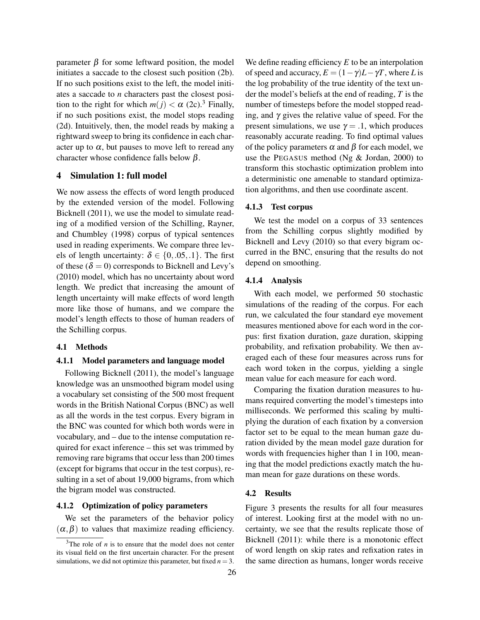parameter  $β$  for some leftward position, the model initiates a saccade to the closest such position (2b). If no such positions exist to the left, the model initiates a saccade to *n* characters past the closest position to the right for which  $m(j) < \alpha$  (2c).<sup>3</sup> Finally, if no such positions exist, the model stops reading (2d). Intuitively, then, the model reads by making a rightward sweep to bring its confidence in each character up to  $\alpha$ , but pauses to move left to reread any character whose confidence falls below  $\beta$ .

### 4 Simulation 1: full model

We now assess the effects of word length produced by the extended version of the model. Following Bicknell (2011), we use the model to simulate reading of a modified version of the Schilling, Rayner, and Chumbley (1998) corpus of typical sentences used in reading experiments. We compare three levels of length uncertainty:  $\delta \in \{0, .05, .1\}$ . The first of these ( $\delta = 0$ ) corresponds to Bicknell and Levy's (2010) model, which has no uncertainty about word length. We predict that increasing the amount of length uncertainty will make effects of word length more like those of humans, and we compare the model's length effects to those of human readers of the Schilling corpus.

### 4.1 Methods

## 4.1.1 Model parameters and language model

Following Bicknell (2011), the model's language knowledge was an unsmoothed bigram model using a vocabulary set consisting of the 500 most frequent words in the British National Corpus (BNC) as well as all the words in the test corpus. Every bigram in the BNC was counted for which both words were in vocabulary, and – due to the intense computation required for exact inference – this set was trimmed by removing rare bigrams that occur less than 200 times (except for bigrams that occur in the test corpus), resulting in a set of about 19,000 bigrams, from which the bigram model was constructed.

#### 4.1.2 Optimization of policy parameters

We set the parameters of the behavior policy  $(\alpha, \beta)$  to values that maximize reading efficiency. We define reading efficiency *E* to be an interpolation of speed and accuracy,  $E = (1 - \gamma)L - \gamma T$ , where *L* is the log probability of the true identity of the text under the model's beliefs at the end of reading, *T* is the number of timesteps before the model stopped reading, and  $\gamma$  gives the relative value of speed. For the present simulations, we use  $\gamma = .1$ , which produces reasonably accurate reading. To find optimal values of the policy parameters  $\alpha$  and  $\beta$  for each model, we use the PEGASUS method (Ng & Jordan, 2000) to transform this stochastic optimization problem into a deterministic one amenable to standard optimization algorithms, and then use coordinate ascent.

## 4.1.3 Test corpus

We test the model on a corpus of 33 sentences from the Schilling corpus slightly modified by Bicknell and Levy (2010) so that every bigram occurred in the BNC, ensuring that the results do not depend on smoothing.

#### 4.1.4 Analysis

With each model, we performed 50 stochastic simulations of the reading of the corpus. For each run, we calculated the four standard eye movement measures mentioned above for each word in the corpus: first fixation duration, gaze duration, skipping probability, and refixation probability. We then averaged each of these four measures across runs for each word token in the corpus, yielding a single mean value for each measure for each word.

Comparing the fixation duration measures to humans required converting the model's timesteps into milliseconds. We performed this scaling by multiplying the duration of each fixation by a conversion factor set to be equal to the mean human gaze duration divided by the mean model gaze duration for words with frequencies higher than 1 in 100, meaning that the model predictions exactly match the human mean for gaze durations on these words.

#### 4.2 Results

Figure 3 presents the results for all four measures of interest. Looking first at the model with no uncertainty, we see that the results replicate those of Bicknell (2011): while there is a monotonic effect of word length on skip rates and refixation rates in the same direction as humans, longer words receive

<sup>&</sup>lt;sup>3</sup>The role of *n* is to ensure that the model does not center its visual field on the first uncertain character. For the present simulations, we did not optimize this parameter, but fixed  $n = 3$ .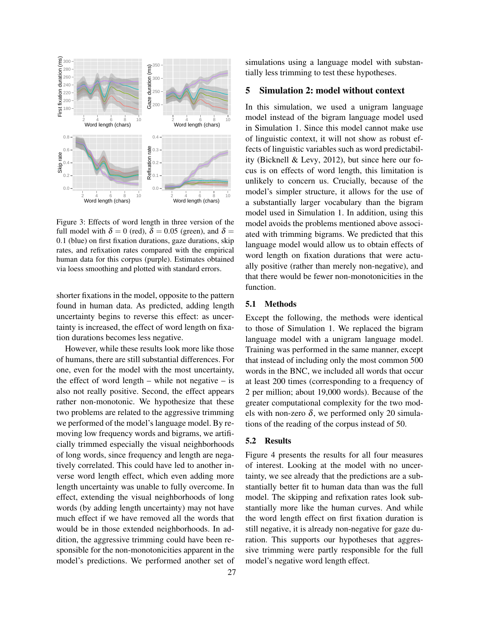

Figure 3: Effects of word length in three version of the full model with  $\delta = 0$  (red),  $\delta = 0.05$  (green), and  $\delta =$ 0.1 (blue) on first fixation durations, gaze durations, skip rates, and refixation rates compared with the empirical human data for this corpus (purple). Estimates obtained via loess smoothing and plotted with standard errors.

shorter fixations in the model, opposite to the pattern found in human data. As predicted, adding length uncertainty begins to reverse this effect: as uncertainty is increased, the effect of word length on fixation durations becomes less negative.

However, while these results look more like those of humans, there are still substantial differences. For one, even for the model with the most uncertainty, the effect of word length – while not negative – is also not really positive. Second, the effect appears rather non-monotonic. We hypothesize that these two problems are related to the aggressive trimming we performed of the model's language model. By removing low frequency words and bigrams, we artificially trimmed especially the visual neighborhoods of long words, since frequency and length are negatively correlated. This could have led to another inverse word length effect, which even adding more length uncertainty was unable to fully overcome. In effect, extending the visual neighborhoods of long words (by adding length uncertainty) may not have much effect if we have removed all the words that would be in those extended neighborhoods. In addition, the aggressive trimming could have been responsible for the non-monotonicities apparent in the model's predictions. We performed another set of simulations using a language model with substantially less trimming to test these hypotheses.

# 5 Simulation 2: model without context

In this simulation, we used a unigram language model instead of the bigram language model used in Simulation 1. Since this model cannot make use of linguistic context, it will not show as robust effects of linguistic variables such as word predictability (Bicknell & Levy, 2012), but since here our focus is on effects of word length, this limitation is unlikely to concern us. Crucially, because of the model's simpler structure, it allows for the use of a substantially larger vocabulary than the bigram model used in Simulation 1. In addition, using this model avoids the problems mentioned above associated with trimming bigrams. We predicted that this language model would allow us to obtain effects of word length on fixation durations that were actually positive (rather than merely non-negative), and that there would be fewer non-monotonicities in the function.

## 5.1 Methods

Except the following, the methods were identical to those of Simulation 1. We replaced the bigram language model with a unigram language model. Training was performed in the same manner, except that instead of including only the most common 500 words in the BNC, we included all words that occur at least 200 times (corresponding to a frequency of 2 per million; about 19,000 words). Because of the greater computational complexity for the two models with non-zero  $\delta$ , we performed only 20 simulations of the reading of the corpus instead of 50.

## 5.2 Results

Figure 4 presents the results for all four measures of interest. Looking at the model with no uncertainty, we see already that the predictions are a substantially better fit to human data than was the full model. The skipping and refixation rates look substantially more like the human curves. And while the word length effect on first fixation duration is still negative, it is already non-negative for gaze duration. This supports our hypotheses that aggressive trimming were partly responsible for the full model's negative word length effect.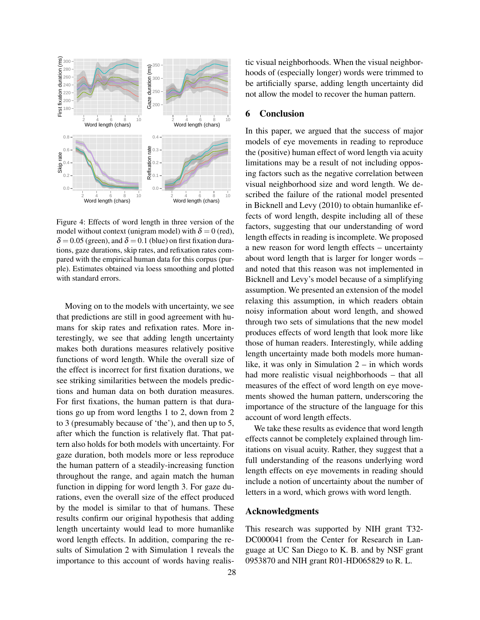

Figure 4: Effects of word length in three version of the model without context (unigram model) with  $\delta = 0$  (red),  $\delta = 0.05$  (green), and  $\delta = 0.1$  (blue) on first fixation durations, gaze durations, skip rates, and refixation rates compared with the empirical human data for this corpus (purple). Estimates obtained via loess smoothing and plotted with standard errors.

Moving on to the models with uncertainty, we see that predictions are still in good agreement with humans for skip rates and refixation rates. More interestingly, we see that adding length uncertainty makes both durations measures relatively positive functions of word length. While the overall size of the effect is incorrect for first fixation durations, we see striking similarities between the models predictions and human data on both duration measures. For first fixations, the human pattern is that durations go up from word lengths 1 to 2, down from 2 to 3 (presumably because of 'the'), and then up to 5, after which the function is relatively flat. That pattern also holds for both models with uncertainty. For gaze duration, both models more or less reproduce the human pattern of a steadily-increasing function throughout the range, and again match the human function in dipping for word length 3. For gaze durations, even the overall size of the effect produced by the model is similar to that of humans. These results confirm our original hypothesis that adding length uncertainty would lead to more humanlike word length effects. In addition, comparing the results of Simulation 2 with Simulation 1 reveals the importance to this account of words having realistic visual neighborhoods. When the visual neighborhoods of (especially longer) words were trimmed to be artificially sparse, adding length uncertainty did not allow the model to recover the human pattern.

# 6 Conclusion

In this paper, we argued that the success of major models of eye movements in reading to reproduce the (positive) human effect of word length via acuity limitations may be a result of not including opposing factors such as the negative correlation between visual neighborhood size and word length. We described the failure of the rational model presented in Bicknell and Levy (2010) to obtain humanlike effects of word length, despite including all of these factors, suggesting that our understanding of word length effects in reading is incomplete. We proposed a new reason for word length effects – uncertainty about word length that is larger for longer words – and noted that this reason was not implemented in Bicknell and Levy's model because of a simplifying assumption. We presented an extension of the model relaxing this assumption, in which readers obtain noisy information about word length, and showed through two sets of simulations that the new model produces effects of word length that look more like those of human readers. Interestingly, while adding length uncertainty made both models more humanlike, it was only in Simulation 2 – in which words had more realistic visual neighborhoods – that all measures of the effect of word length on eye movements showed the human pattern, underscoring the importance of the structure of the language for this account of word length effects.

We take these results as evidence that word length effects cannot be completely explained through limitations on visual acuity. Rather, they suggest that a full understanding of the reasons underlying word length effects on eye movements in reading should include a notion of uncertainty about the number of letters in a word, which grows with word length.

## Acknowledgments

This research was supported by NIH grant T32- DC000041 from the Center for Research in Language at UC San Diego to K. B. and by NSF grant 0953870 and NIH grant R01-HD065829 to R. L.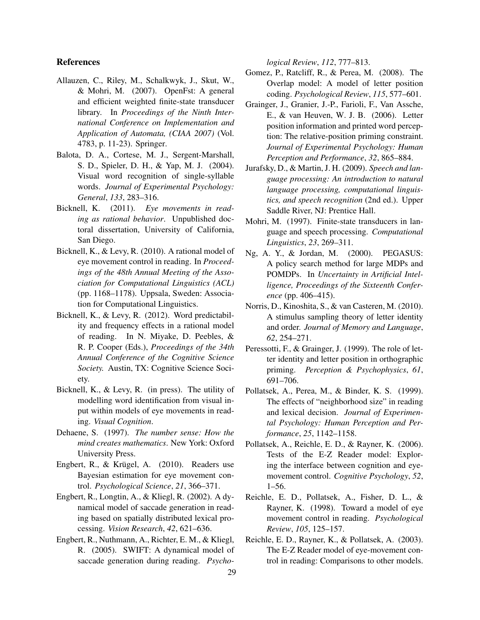## References

- Allauzen, C., Riley, M., Schalkwyk, J., Skut, W., & Mohri, M. (2007). OpenFst: A general and efficient weighted finite-state transducer library. In *Proceedings of the Ninth International Conference on Implementation and Application of Automata, (CIAA 2007)* (Vol. 4783, p. 11-23). Springer.
- Balota, D. A., Cortese, M. J., Sergent-Marshall, S. D., Spieler, D. H., & Yap, M. J. (2004). Visual word recognition of single-syllable words. *Journal of Experimental Psychology: General*, *133*, 283–316.
- Bicknell, K. (2011). *Eye movements in reading as rational behavior*. Unpublished doctoral dissertation, University of California, San Diego.
- Bicknell, K., & Levy, R. (2010). A rational model of eye movement control in reading. In *Proceedings of the 48th Annual Meeting of the Association for Computational Linguistics (ACL)* (pp. 1168–1178). Uppsala, Sweden: Association for Computational Linguistics.
- Bicknell, K., & Levy, R. (2012). Word predictability and frequency effects in a rational model of reading. In N. Miyake, D. Peebles, & R. P. Cooper (Eds.), *Proceedings of the 34th Annual Conference of the Cognitive Science Society.* Austin, TX: Cognitive Science Society.
- Bicknell, K., & Levy, R. (in press). The utility of modelling word identification from visual input within models of eye movements in reading. *Visual Cognition*.
- Dehaene, S. (1997). *The number sense: How the mind creates mathematics*. New York: Oxford University Press.
- Engbert, R., & Krügel, A. (2010). Readers use Bayesian estimation for eye movement control. *Psychological Science*, *21*, 366–371.
- Engbert, R., Longtin, A., & Kliegl, R. (2002). A dynamical model of saccade generation in reading based on spatially distributed lexical processing. *Vision Research*, *42*, 621–636.
- Engbert, R., Nuthmann, A., Richter, E. M., & Kliegl, R. (2005). SWIFT: A dynamical model of saccade generation during reading. *Psycho-*

*logical Review*, *112*, 777–813.

- Gomez, P., Ratcliff, R., & Perea, M. (2008). The Overlap model: A model of letter position coding. *Psychological Review*, *115*, 577–601.
- Grainger, J., Granier, J.-P., Farioli, F., Van Assche, E., & van Heuven, W. J. B. (2006). Letter position information and printed word perception: The relative-position priming constraint. *Journal of Experimental Psychology: Human Perception and Performance*, *32*, 865–884.
- Jurafsky, D., & Martin, J. H. (2009). *Speech and language processing: An introduction to natural language processing, computational linguistics, and speech recognition* (2nd ed.). Upper Saddle River, NJ: Prentice Hall.
- Mohri, M. (1997). Finite-state transducers in language and speech processing. *Computational Linguistics*, *23*, 269–311.
- Ng, A. Y., & Jordan, M. (2000). PEGASUS: A policy search method for large MDPs and POMDPs. In *Uncertainty in Artificial Intelligence, Proceedings of the Sixteenth Conference* (pp. 406–415).
- Norris, D., Kinoshita, S., & van Casteren, M. (2010). A stimulus sampling theory of letter identity and order. *Journal of Memory and Language*, *62*, 254–271.
- Peressotti, F., & Grainger, J. (1999). The role of letter identity and letter position in orthographic priming. *Perception & Psychophysics*, *61*, 691–706.
- Pollatsek, A., Perea, M., & Binder, K. S. (1999). The effects of "neighborhood size" in reading and lexical decision. *Journal of Experimental Psychology: Human Perception and Performance*, *25*, 1142–1158.
- Pollatsek, A., Reichle, E. D., & Rayner, K. (2006). Tests of the E-Z Reader model: Exploring the interface between cognition and eyemovement control. *Cognitive Psychology*, *52*, 1–56.
- Reichle, E. D., Pollatsek, A., Fisher, D. L., & Rayner, K. (1998). Toward a model of eye movement control in reading. *Psychological Review*, *105*, 125–157.
- Reichle, E. D., Rayner, K., & Pollatsek, A. (2003). The E-Z Reader model of eye-movement control in reading: Comparisons to other models.